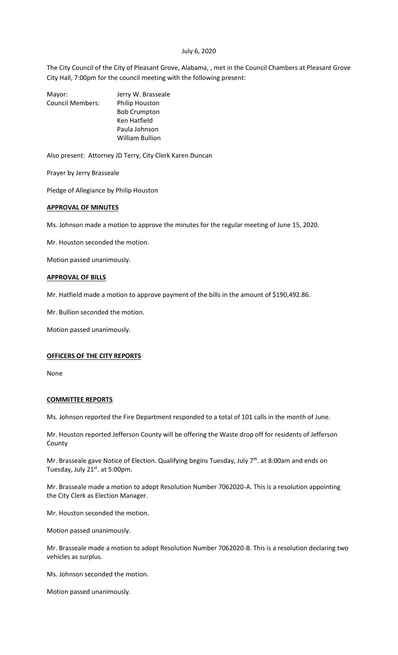#### July 6, 2020

The City Council of the City of Pleasant Grove, Alabama, , met in the Council Chambers at Pleasant Grove City Hall, 7:00pm for the council meeting with the following present:

| Mayor:                  | Jerry W. Brasseale     |
|-------------------------|------------------------|
| <b>Council Members:</b> | Philip Houston         |
|                         | <b>Bob Crumpton</b>    |
|                         | Ken Hatfield           |
|                         | Paula Johnson          |
|                         | <b>William Bullion</b> |
|                         |                        |

Also present: Attorney JD Terry, City Clerk Karen Duncan

Prayer by Jerry Brasseale

Pledge of Allegiance by Philip Houston

#### **APPROVAL OF MINUTES**

Ms. Johnson made a motion to approve the minutes for the regular meeting of June 15, 2020.

Mr. Houston seconded the motion.

Motion passed unanimously.

### **APPROVAL OF BILLS**

Mr. Hatfield made a motion to approve payment of the bills in the amount of \$190,492.86.

Mr. Bullion seconded the motion.

Motion passed unanimously.

#### **OFFICERS OF THE CITY REPORTS**

None

#### **COMMITTEE REPORTS**

Ms. Johnson reported the Fire Department responded to a total of 101 calls in the month of June.

Mr. Houston reported Jefferson County will be offering the Waste drop off for residents of Jefferson County

Mr. Brasseale gave Notice of Election. Qualifying begins Tuesday, July 7<sup>th</sup>. at 8:00am and ends on Tuesday, July 21<sup>st</sup>. at 5:00pm.

Mr. Brasseale made a motion to adopt Resolution Number 7062020-A. This is a resolution appointing the City Clerk as Election Manager.

Mr. Houston seconded the motion.

Motion passed unanimously.

Mr. Brasseale made a motion to adopt Resolution Number 7062020-B. This is a resolution declaring two vehicles as surplus.

Ms. Johnson seconded the motion.

Motion passed unanimously.